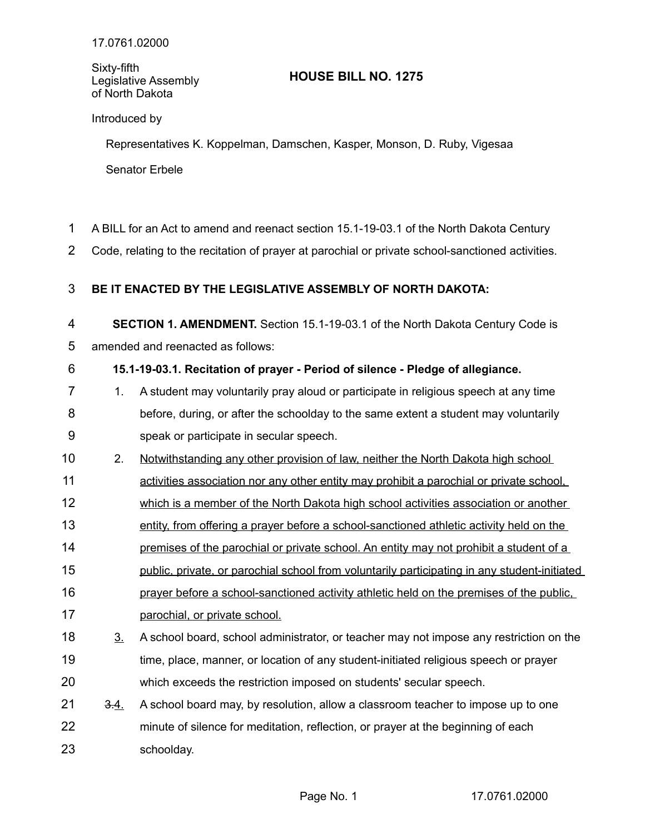Sixty-fifth Legislative Assembly of North Dakota

## **HOUSE BILL NO. 1275**

## Introduced by

Representatives K. Koppelman, Damschen, Kasper, Monson, D. Ruby, Vigesaa Senator Erbele

- A BILL for an Act to amend and reenact section 15.1-19-03.1 of the North Dakota Century 1
- Code, relating to the recitation of prayer at parochial or private school-sanctioned activities. 2

## **BE IT ENACTED BY THE LEGISLATIVE ASSEMBLY OF NORTH DAKOTA:** 3

**SECTION 1. AMENDMENT.** Section 15.1-19-03.1 of the North Dakota Century Code is 4

amended and reenacted as follows: 5

## **15.1-19-03.1. Recitation of prayer - Period of silence - Pledge of allegiance.** 6

- 1. A student may voluntarily pray aloud or participate in religious speech at any time before, during, or after the schoolday to the same extent a student may voluntarily speak or participate in secular speech. 7 8 9
- 2. Notwithstanding any other provision of law, neither the North Dakota high school 10
- activities association nor any other entity may prohibit a parochial or private school, 11
- which is a member of the North Dakota high school activities association or another 12
- entity, from offering a prayer before a school-sanctioned athletic activity held on the 13
- premises of the parochial or private school. An entity may not prohibit a student of a 14
- public, private, or parochial school from voluntarily participating in any student initiated 15
- prayer before a school-sanctioned activity athletic held on the premises of the public, 16
- parochial, or private school. 17
- 3. A school board, school administrator, or teacher may not impose any restriction on the time, place, manner, or location of any student-initiated religious speech or prayer which exceeds the restriction imposed on students' secular speech. 18 19 20
- 3.4. A school board may, by resolution, allow a classroom teacher to impose up to one minute of silence for meditation, reflection, or prayer at the beginning of each schoolday. 21 22 23